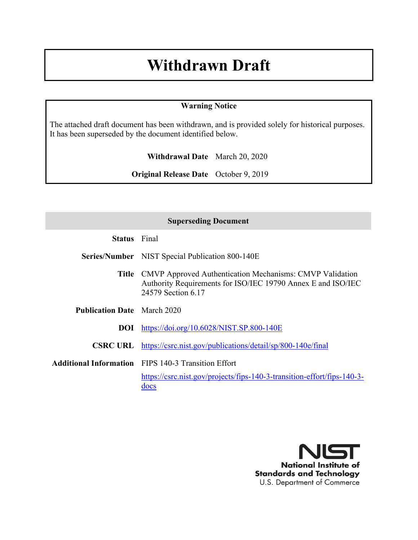# **Withdrawn Draft**

### **Warning Notice**

The attached draft document has been withdrawn, and is provided solely for historical purposes. It has been superseded by the document identified below.

**Withdrawal Date** March 20, 2020

**Original Release Date** October 9, 2019

| <b>Superseding Document</b>        |                                                                                                                                                       |  |  |  |
|------------------------------------|-------------------------------------------------------------------------------------------------------------------------------------------------------|--|--|--|
| <b>Status</b> Final                |                                                                                                                                                       |  |  |  |
|                                    | <b>Series/Number</b> NIST Special Publication 800-140E                                                                                                |  |  |  |
| <b>Title</b>                       | <b>CMVP Approved Authentication Mechanisms: CMVP Validation</b><br>Authority Requirements for ISO/IEC 19790 Annex E and ISO/IEC<br>24579 Section 6.17 |  |  |  |
| <b>Publication Date</b> March 2020 |                                                                                                                                                       |  |  |  |
| DOL                                | https://doi.org/10.6028/NIST.SP.800-140E                                                                                                              |  |  |  |
|                                    | <b>CSRC URL</b> https://csrc.nist.gov/publications/detail/sp/800-140e/final                                                                           |  |  |  |
|                                    | <b>Additional Information</b> FIPS 140-3 Transition Effort                                                                                            |  |  |  |
|                                    | https://csrc.nist.gov/projects/fips-140-3-transition-effort/fips-140-3-<br>docs                                                                       |  |  |  |

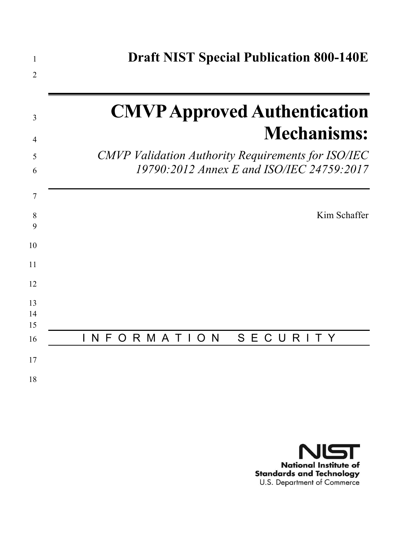| $\mathbf{1}$<br>$\overline{2}$ | <b>Draft NIST Special Publication 800-140E</b>                                                         |
|--------------------------------|--------------------------------------------------------------------------------------------------------|
| 3                              | <b>CMVP</b> Approved Authentication<br><b>Mechanisms:</b>                                              |
| $\overline{4}$<br>5<br>6       | <b>CMVP Validation Authority Requirements for ISO/IEC</b><br>19790:2012 Annex E and ISO/IEC 24759:2017 |
| 7<br>8<br>9                    | Kim Schaffer                                                                                           |
| 10<br>11                       |                                                                                                        |
| 12<br>13<br>14                 |                                                                                                        |
| 15<br>16<br>17                 | ORMATION<br>SECU<br>R I<br>N.<br>-F<br>T Y                                                             |
| 18                             |                                                                                                        |

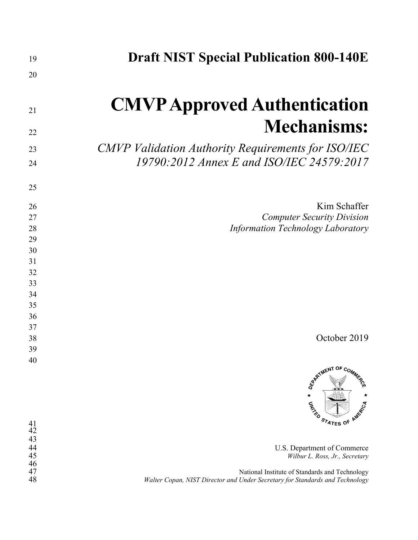| 19                                                             | <b>Draft NIST Special Publication 800-140E</b>                                                                                                                                                  |
|----------------------------------------------------------------|-------------------------------------------------------------------------------------------------------------------------------------------------------------------------------------------------|
| 20                                                             |                                                                                                                                                                                                 |
| 21                                                             | <b>CMVP Approved Authentication</b>                                                                                                                                                             |
| 22                                                             | <b>Mechanisms:</b>                                                                                                                                                                              |
| 23<br>24                                                       | CMVP Validation Authority Requirements for ISO/IEC<br>19790:2012 Annex E and ISO/IEC 24579:2017                                                                                                 |
| 25                                                             |                                                                                                                                                                                                 |
| 26<br>27<br>28<br>29<br>30<br>31<br>32<br>33<br>34<br>35<br>36 | Kim Schaffer<br><b>Computer Security Division</b><br><b>Information Technology Laboratory</b>                                                                                                   |
| 37<br>38<br>39                                                 | October 2019                                                                                                                                                                                    |
| 40<br>41<br>42<br>43                                           | <b>ARTWENT OF COMMS</b><br>$\star$<br>CANNO<br>STATES OF                                                                                                                                        |
| 44<br>45<br>46<br>47<br>48                                     | U.S. Department of Commerce<br>Wilbur L. Ross, Jr., Secretary<br>National Institute of Standards and Technology<br>Walter Copan, NIST Director and Under Secretary for Standards and Technology |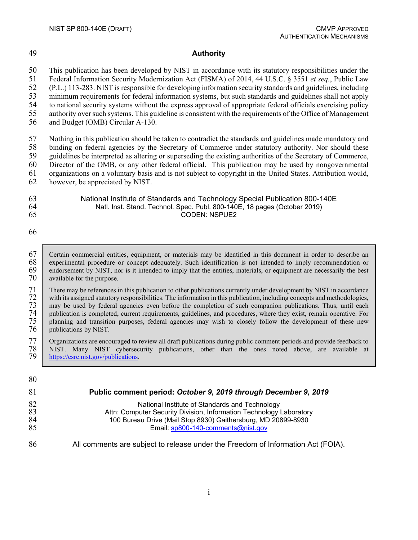#### 49 **Authority**

50 This publication has been developed by NIST in accordance with its statutory responsibilities under the<br>51 Federal Information Security Modernization Act (FISMA) of 2014, 44 U.S.C. § 3551 *et seq.*, Public Law

51 Federal Information Security Modernization Act (FISMA) of 2014, 44 U.S.C. § 3551 *et seq.*, Public Law

52 (P.L.) 113-283. NIST is responsible for developing information security standards and guidelines, including 53 minimum requirements for federal information systems, but such standards and guidelines shall not apply

54 to national security systems without the express approval of appropriate federal officials exercising policy<br>55 authority over such systems. This guideline is consistent with the requirements of the Office of Management 55 authority over such systems. This guideline is consistent with the requirements of the Office of Management

56 and Budget (OMB) Circular A-130.

57 Nothing in this publication should be taken to contradict the standards and guidelines made mandatory and<br>58 binding on federal agencies by the Secretary of Commerce under statutory authority. Nor should these 58 binding on federal agencies by the Secretary of Commerce under statutory authority. Nor should these<br>59 guidelines be interpreted as altering or superseding the existing authorities of the Secretary of Commerce. guidelines be interpreted as altering or superseding the existing authorities of the Secretary of Commerce, Director of the OMB, or any other federal official. This publication may be used by nongovernmental organizations on a voluntary basis and is not subject to copyright in the United States. Attribution would, however, be appreciated by NIST.

- 63 National Institute of Standards and Technology Special Publication 800-140E
- 64 Natl. Inst. Stand. Technol. Spec. Publ. 800-140E, 18 pages (October 2019)
- 

66

67 Certain commercial entities, equipment, or materials may be identified in this document in order to describe an experimental procedure or concept adequately. Such identification is not intended to imply recommendation o 68 experimental procedure or concept adequately. Such identification is not intended to imply recommendation or endorsement by NIST, nor is it intended to imply that the entities, materials, or equipment are necessarily th 69 endorsement by NIST, nor is it intended to imply that the entities, materials, or equipment are necessarily the best available for the purpose. available for the purpose.

CODEN: NSPUE2

There may be references in this publication to other publications currently under development by NIST in accordance with its assigned statutory responsibilities. The information in this publication, including concepts and with its assigned statutory responsibilities. The information in this publication, including concepts and methodologies, 73 may be used by federal agencies even before the completion of such companion publications. Thus, until each publication is completed, current requirements, guidelines, and procedures, where they exist, remain operative. 74 publication is completed, current requirements, guidelines, and procedures, where they exist, remain operative. For<br>75 planning and transition purposes, federal agencies may wish to closely follow the development of the 75 planning and transition purposes, federal agencies may wish to closely follow the development of these new publications by NIST.

77 Organizations are encouraged to review all draft publications during public comment periods and provide feedback to 78 NIST. Many NIST cybersecurity publications, other than the ones noted above, are available at 78 NIST. Many NIST cybersecurity publications, other than the ones noted above, are available at [https://csrc.nist.gov/publications.](https://csrc.nist.gov/publications)

80 81 **Public comment period:** *October 9, 2019 through December 9, 2019* 82 **National Institute of Standards and Technology**<br>83 **Attn: Computer Security Division, Information Technology** I 83 Attn: Computer Security Division, Information Technology Laboratory<br>84 Mall Stop 8930) Gaithersburg, MD 20899-8930 84 100 Bureau Drive (Mail Stop 8930) Gaithersburg, MD 20899-8930<br>85 Email: sp800-140-comments@nist.gov Email: [sp800-140-comments@nist.gov](mailto:sp800-140-comments@nist.gov) 86 All comments are subject to release under the Freedom of Information Act (FOIA).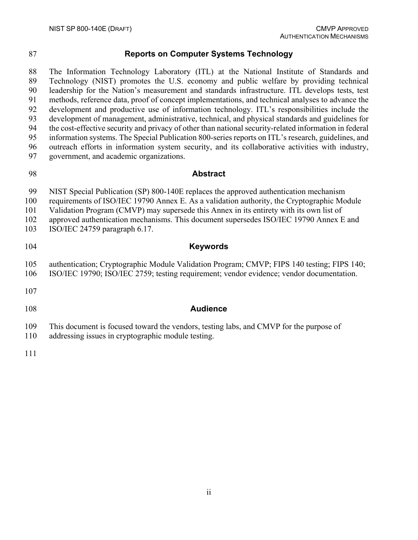### **Reports on Computer Systems Technology**

 The Information Technology Laboratory (ITL) at the National Institute of Standards and Technology (NIST) promotes the U.S. economy and public welfare by providing technical leadership for the Nation's measurement and standards infrastructure. ITL develops tests, test methods, reference data, proof of concept implementations, and technical analyses to advance the development and productive use of information technology. ITL's responsibilities include the development of management, administrative, technical, and physical standards and guidelines for the cost-effective security and privacy of other than national security-related information in federal information systems. The Special Publication 800-series reports on ITL's research, guidelines, and outreach efforts in information system security, and its collaborative activities with industry, government, and academic organizations.

#### **Abstract**

NIST Special Publication (SP) 800-140E replaces the approved authentication mechanism

requirements of ISO/IEC 19790 Annex E. As a validation authority, the Cryptographic Module

Validation Program (CMVP) may supersede this Annex in its entirety with its own list of

approved authentication mechanisms. This document supersedes ISO/IEC 19790 Annex E and

ISO/IEC 24759 paragraph 6.17.

 authentication; Cryptographic Module Validation Program; CMVP; FIPS 140 testing; FIPS 140; ISO/IEC 19790; ISO/IEC 2759; testing requirement; vendor evidence; vendor documentation.

- 
- **Audience**

This document is focused toward the vendors, testing labs, and CMVP for the purpose of

addressing issues in cryptographic module testing.

**Keywords**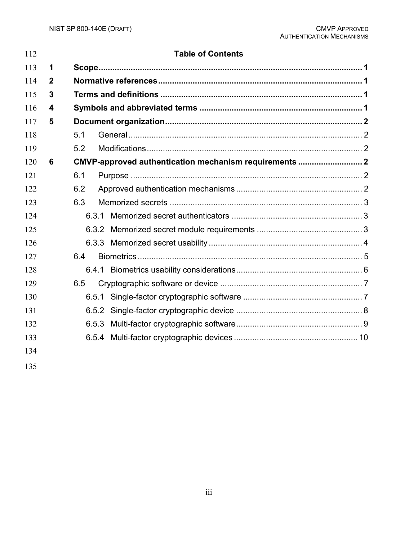| 112 |              | <b>Table of Contents</b>                               |  |
|-----|--------------|--------------------------------------------------------|--|
| 113 | 1            |                                                        |  |
| 114 | $\mathbf{2}$ |                                                        |  |
| 115 | 3            |                                                        |  |
| 116 | 4            |                                                        |  |
| 117 | 5            |                                                        |  |
| 118 |              | 5.1                                                    |  |
| 119 |              | 5.2                                                    |  |
| 120 | 6            | CMVP-approved authentication mechanism requirements  2 |  |
| 121 |              | 6.1                                                    |  |
| 122 |              | 6.2                                                    |  |
| 123 |              | 6.3                                                    |  |
| 124 |              | 6.3.1                                                  |  |
| 125 |              | 6.3.2                                                  |  |
| 126 |              | 6.3.3                                                  |  |
| 127 |              | 6.4                                                    |  |
| 128 |              |                                                        |  |
| 129 |              | 6.5                                                    |  |
| 130 |              | 6.5.1                                                  |  |
| 131 |              | 6.5.2                                                  |  |
| 132 |              | 6.5.3                                                  |  |
| 133 |              | 6.5.4                                                  |  |
| 134 |              |                                                        |  |
|     |              |                                                        |  |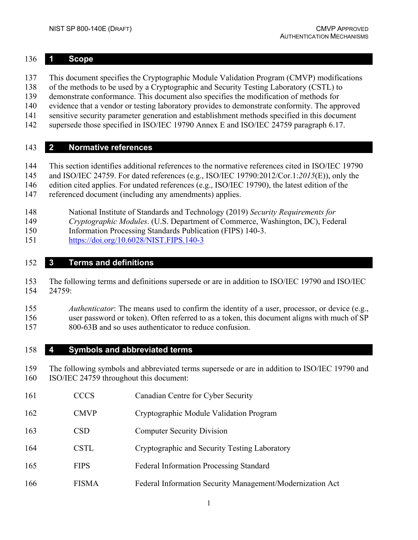#### <span id="page-6-0"></span>**1 Scope**

- This document specifies the Cryptographic Module Validation Program (CMVP) modifications
- of the methods to be used by a Cryptographic and Security Testing Laboratory (CSTL) to
- demonstrate conformance. This document also specifies the modification of methods for
- evidence that a vendor or testing laboratory provides to demonstrate conformity. The approved
- sensitive security parameter generation and establishment methods specified in this document
- supersede those specified in ISO/IEC 19790 Annex E and ISO/IEC 24759 paragraph 6.17.

# <span id="page-6-1"></span>**2 Normative references**

- This section identifies additional references to the normative references cited in ISO/IEC 19790
- and ISO/IEC 24759. For dated references (e.g., ISO/IEC 19790:2012/Cor.1:*2015*(E)), only the
- edition cited applies. For undated references (e.g., ISO/IEC 19790), the latest edition of the
- referenced document (including any amendments) applies.
- National Institute of Standards and Technology (2019) *Security Requirements for*
- *Cryptographic Modules*. (U.S. Department of Commerce, Washington, DC), Federal
- Information Processing Standards Publication (FIPS) 140-3.
- <https://doi.org/10.6028/NIST.FIPS.140-3>

#### <span id="page-6-2"></span>**3 Terms and definitions**

- The following terms and definitions supersede or are in addition to ISO/IEC 19790 and ISO/IEC 24759:
- *Authenticator*: The means used to confirm the identity of a user, processor, or device (e.g., user password or token). Often referred to as a token, this document aligns with much of SP
- 800-63B and so uses authenticator to reduce confusion.
- <span id="page-6-3"></span>**4 Symbols and abbreviated terms**
- The following symbols and abbreviated terms supersede or are in addition to ISO/IEC 19790 and
- ISO/IEC 24759 throughout this document:
- CCCS Canadian Centre for Cyber Security
- CMVP Cryptographic Module Validation Program
- 163 CSD Computer Security Division
- CSTL Cryptographic and Security Testing Laboratory
- FIPS Federal Information Processing Standard
- FISMA Federal Information Security Management/Modernization Act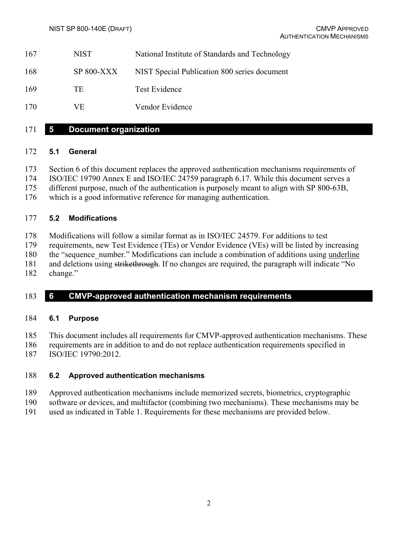- NIST National Institute of Standards and Technology SP 800-XXX NIST Special Publication 800 series document
- 169 TE Test Evidence
- VE Vendor Evidence

#### <span id="page-7-0"></span>**5 Document organization**

#### <span id="page-7-1"></span>**5.1 General**

- Section 6 of this document replaces the approved authentication mechanisms requirements of
- ISO/IEC 19790 Annex E and ISO/IEC 24759 paragraph 6.17. While this document serves a
- different purpose, much of the authentication is purposely meant to align with SP 800-63B,
- which is a good informative reference for managing authentication.

#### <span id="page-7-2"></span>**5.2 Modifications**

- Modifications will follow a similar format as in ISO/IEC 24579. For additions to test
- requirements, new Test Evidence (TEs) or Vendor Evidence (VEs) will be listed by increasing
- the "sequence\_number." Modifications can include a combination of additions using underline
- and deletions using strikethrough. If no changes are required, the paragraph will indicate "No
- change."

### <span id="page-7-3"></span>**6 CMVP-approved authentication mechanism requirements**

#### <span id="page-7-4"></span>**6.1 Purpose**

- This document includes all requirements for CMVP-approved authentication mechanisms. These
- requirements are in addition to and do not replace authentication requirements specified in
- ISO/IEC 19790:2012.

### <span id="page-7-5"></span>**6.2 Approved authentication mechanisms**

- Approved authentication mechanisms include memorized secrets, biometrics, cryptographic
- software or devices, and multifactor (combining two mechanisms). These mechanisms may be
- used as indicated in Table 1. Requirements for these mechanisms are provided below.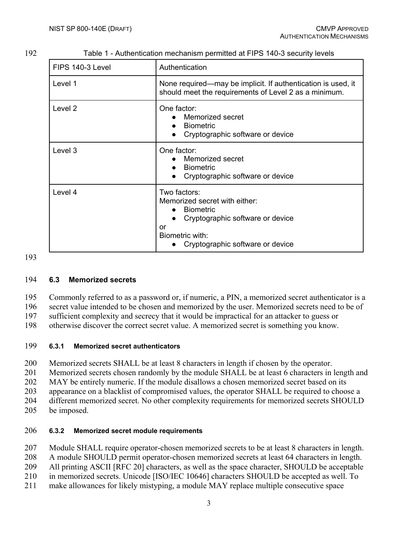192 Table 1 - Authentication mechanism permitted at FIPS 140-3 security levels

| FIPS 140-3 Level   | Authentication                                                                                                                                                                        |  |
|--------------------|---------------------------------------------------------------------------------------------------------------------------------------------------------------------------------------|--|
| Level 1            | None required—may be implicit. If authentication is used, it<br>should meet the requirements of Level 2 as a minimum.                                                                 |  |
| Level <sub>2</sub> | One factor:<br>• Memorized secret<br>Biometric<br>Cryptographic software or device                                                                                                    |  |
| Level 3            | One factor:<br>Memorized secret<br>Biometric<br>Cryptographic software or device                                                                                                      |  |
| Level 4            | Two factors:<br>Memorized secret with either:<br>Biometric<br>$\bullet$<br>Cryptographic software or device<br>$\bullet$<br>or<br>Biometric with:<br>Cryptographic software or device |  |

<span id="page-8-0"></span>193

### 194 **6.3 Memorized secrets**

195 Commonly referred to as a password or, if numeric, a PIN, a memorized secret authenticator is a

196 secret value intended to be chosen and memorized by the user. Memorized secrets need to be of 197 sufficient complexity and secrecy that it would be impractical for an attacker to guess or

198 otherwise discover the correct secret value. A memorized secret is something you know.

#### <span id="page-8-1"></span>199 **6.3.1 Memorized secret authenticators**

200 Memorized secrets SHALL be at least 8 characters in length if chosen by the operator.

201 Memorized secrets chosen randomly by the module SHALL be at least 6 characters in length and

202 MAY be entirely numeric. If the module disallows a chosen memorized secret based on its

203 appearance on a blacklist of compromised values, the operator SHALL be required to choose a

204 different memorized secret. No other complexity requirements for memorized secrets SHOULD

205 be imposed.

### <span id="page-8-2"></span>206 **6.3.2 Memorized secret module requirements**

207 Module SHALL require operator-chosen memorized secrets to be at least 8 characters in length.

208 A module SHOULD permit operator-chosen memorized secrets at least 64 characters in length.

209 All printing ASCII [RFC 20] characters, as well as the space character, SHOULD be acceptable

210 in memorized secrets. Unicode [ISO/IEC 10646] characters SHOULD be accepted as well. To

211 make allowances for likely mistyping, a module MAY replace multiple consecutive space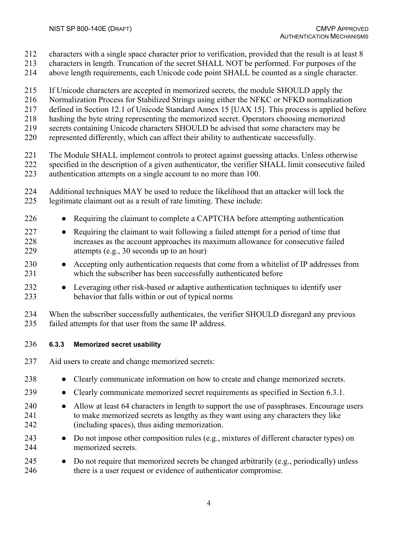- 212 characters with a single space character prior to verification, provided that the result is at least 8
- characters in length. Truncation of the secret SHALL NOT be performed. For purposes of the
- above length requirements, each Unicode code point SHALL be counted as a single character.
- If Unicode characters are accepted in memorized secrets, the module SHOULD apply the
- Normalization Process for Stabilized Strings using either the NFKC or NFKD normalization
- defined in Section 12.1 of Unicode Standard Annex 15 [UAX 15]. This process is applied before
- hashing the byte string representing the memorized secret. Operators choosing memorized
- secrets containing Unicode characters SHOULD be advised that some characters may be
- represented differently, which can affect their ability to authenticate successfully.
- The Module SHALL implement controls to protect against guessing attacks. Unless otherwise
- specified in the description of a given authenticator, the verifier SHALL limit consecutive failed
- authentication attempts on a single account to no more than 100.
- Additional techniques MAY be used to reduce the likelihood that an attacker will lock the legitimate claimant out as a result of rate limiting. These include:
- 226 Requiring the claimant to complete a CAPTCHA before attempting authentication
- 227 Requiring the claimant to wait following a failed attempt for a period of time that increases as the account approaches its maximum allowance for consecutive failed attempts (e.g., 30 seconds up to an hour)
- 230 Accepting only authentication requests that come from a whitelist of IP addresses from which the subscriber has been successfully authenticated before
- Leveraging other risk-based or adaptive authentication techniques to identify user behavior that falls within or out of typical norms
- When the subscriber successfully authenticates, the verifier SHOULD disregard any previous failed attempts for that user from the same IP address.
- <span id="page-9-0"></span>**6.3.3 Memorized secret usability**
- Aid users to create and change memorized secrets:
- 238 Clearly communicate information on how to create and change memorized secrets.
- 239 Clearly communicate memorized secret requirements as specified in Section 6.3.1.
- 240 Allow at least 64 characters in length to support the use of passphrases. Encourage users to make memorized secrets as lengthy as they want using any characters they like (including spaces), thus aiding memorization.
- 243 Do not impose other composition rules (e.g., mixtures of different character types) on memorized secrets.
- 245 Do not require that memorized secrets be changed arbitrarily (e.g., periodically) unless there is a user request or evidence of authenticator compromise.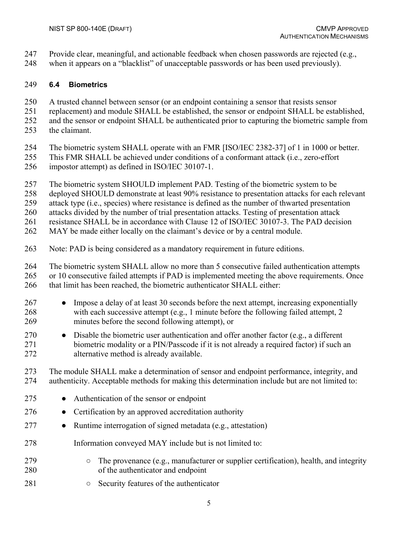- Provide clear, meaningful, and actionable feedback when chosen passwords are rejected (e.g.,
- when it appears on a "blacklist" of unacceptable passwords or has been used previously).

#### <span id="page-10-0"></span>**6.4 Biometrics**

- A trusted channel between sensor (or an endpoint containing a sensor that resists sensor
- replacement) and module SHALL be established, the sensor or endpoint SHALL be established,
- and the sensor or endpoint SHALL be authenticated prior to capturing the biometric sample from
- the claimant.
- The biometric system SHALL operate with an FMR [ISO/IEC 2382-37] of 1 in 1000 or better.
- This FMR SHALL be achieved under conditions of a conformant attack (i.e., zero-effort
- impostor attempt) as defined in ISO/IEC 30107-1.
- The biometric system SHOULD implement PAD. Testing of the biometric system to be
- deployed SHOULD demonstrate at least 90% resistance to presentation attacks for each relevant
- attack type (i.e., species) where resistance is defined as the number of thwarted presentation

attacks divided by the number of trial presentation attacks. Testing of presentation attack

- resistance SHALL be in accordance with Clause 12 of ISO/IEC 30107-3. The PAD decision
- MAY be made either locally on the claimant's device or by a central module.
- Note: PAD is being considered as a mandatory requirement in future editions.
- The biometric system SHALL allow no more than 5 consecutive failed authentication attempts or 10 consecutive failed attempts if PAD is implemented meeting the above requirements. Once that limit has been reached, the biometric authenticator SHALL either:
- 267 Impose a delay of at least 30 seconds before the next attempt, increasing exponentially with each successive attempt (e.g., 1 minute before the following failed attempt, 2 minutes before the second following attempt), or
- 270 Disable the biometric user authentication and offer another factor (e.g., a different biometric modality or a PIN/Passcode if it is not already a required factor) if such an alternative method is already available.
- The module SHALL make a determination of sensor and endpoint performance, integrity, and authenticity. Acceptable methods for making this determination include but are not limited to:
- 275 Authentication of the sensor or endpoint
- 276 Certification by an approved accreditation authority
- 277 Runtime interrogation of signed metadata (e.g., attestation)
- Information conveyed MAY include but is not limited to:
- The provenance (e.g., manufacturer or supplier certification), health, and integrity of the authenticator and endpoint
- **••** Security features of the authenticator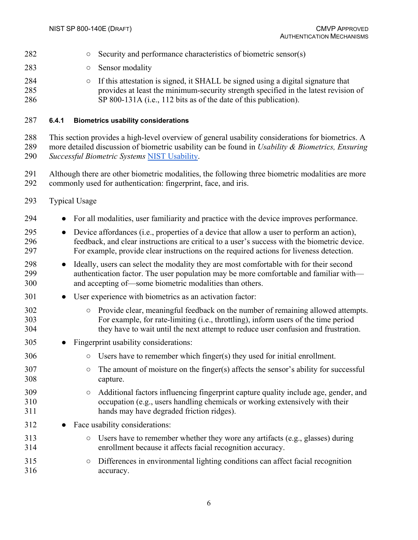- Security and performance characteristics of biometric sensor(s)
- **••** Sensor modality
- **••** 1f this attestation is signed, it SHALL be signed using a digital signature that provides at least the minimum-security strength specified in the latest revision of SP 800-131A (i.e., 112 bits as of the date of this publication).
- <span id="page-11-0"></span>**6.4.1 Biometrics usability considerations**

 This section provides a high-level overview of general usability considerations for biometrics. A more detailed discussion of biometric usability can be found in *Usability & Biometrics, Ensuring Successful Biometric Systems* [NIST Usability.](http://www.nist.gov/customcf/get_pdf.cfm?pub_id=152184)

- Although there are other biometric modalities, the following three biometric modalities are more commonly used for authentication: fingerprint, face, and iris.
- Typical Usage
- 294 For all modalities, user familiarity and practice with the device improves performance.
- 295 Device affordances (i.e., properties of a device that allow a user to perform an action), feedback, and clear instructions are critical to a user's success with the biometric device. For example, provide clear instructions on the required actions for liveness detection.
- 298 Ideally, users can select the modality they are most comfortable with for their second authentication factor. The user population may be more comfortable and familiar with— and accepting of—some biometric modalities than others.
- 301 User experience with biometrics as an activation factor:
- **Provide clear, meaningful feedback on the number of remaining allowed attempts.**  For example, for rate-limiting (i.e., throttling), inform users of the time period they have to wait until the next attempt to reduce user confusion and frustration.
- 305 Fingerprint usability considerations:
- **Solution** Supers have to remember which finger(s) they used for initial enrollment.
- $\degree$  The amount of moisture on the finger(s) affects the sensor's ability for successful capture.
- 309 Additional factors influencing fingerprint capture quality include age, gender, and occupation (e.g., users handling chemicals or working extensively with their hands may have degraded friction ridges).
- 312 Face usability considerations:
- 313 Users have to remember whether they wore any artifacts (e.g., glasses) during enrollment because it affects facial recognition accuracy.
- **••** Differences in environmental lighting conditions can affect facial recognition accuracy.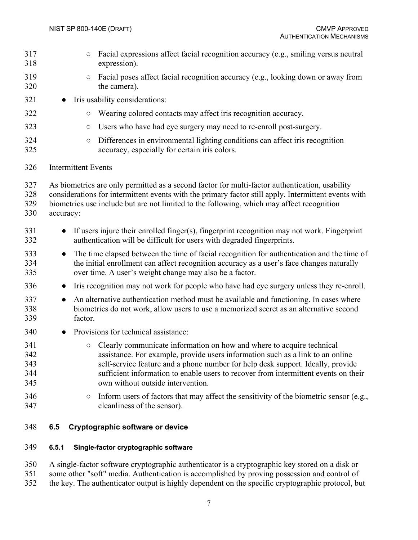- 317  $\degree$  Facial expressions affect facial recognition accuracy (e.g., smiling versus neutral expression).
- 319 Facial poses affect facial recognition accuracy (e.g., looking down or away from the camera).
- 321 Iris usability considerations:
- **Solution** Wearting colored contacts may affect iris recognition accuracy.
- Users who have had eye surgery may need to re-enroll post-surgery.
- Differences in environmental lighting conditions can affect iris recognition accuracy, especially for certain iris colors.
- Intermittent Events

 As biometrics are only permitted as a second factor for multi-factor authentication, usability considerations for intermittent events with the primary factor still apply. Intermittent events with biometrics use include but are not limited to the following, which may affect recognition accuracy:

- 331 If users injure their enrolled finger(s), fingerprint recognition may not work. Fingerprint authentication will be difficult for users with degraded fingerprints.
- 333 The time elapsed between the time of facial recognition for authentication and the time of the initial enrollment can affect recognition accuracy as a user's face changes naturally over time. A user's weight change may also be a factor.
- 336 Iris recognition may not work for people who have had eye surgery unless they re-enroll.
- 337 An alternative authentication method must be available and functioning. In cases where biometrics do not work, allow users to use a memorized secret as an alternative second factor.
- 340 Provisions for technical assistance:
- **•••** Clearly communicate information on how and where to acquire technical assistance. For example, provide users information such as a link to an online self-service feature and a phone number for help desk support. Ideally, provide sufficient information to enable users to recover from intermittent events on their own without outside intervention.
- **Depending 1.5** o Inform users of factors that may affect the sensitivity of the biometric sensor (e.g., cleanliness of the sensor).
- <span id="page-12-0"></span>**6.5 Cryptographic software or device**
- <span id="page-12-1"></span>**6.5.1 Single-factor cryptographic software**
- A single-factor software cryptographic authenticator is a cryptographic key stored on a disk or some other "soft" media. Authentication is accomplished by proving possession and control of the key. The authenticator output is highly dependent on the specific cryptographic protocol, but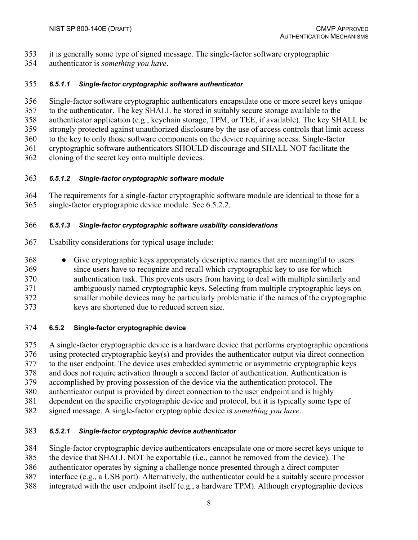it is generally some type of signed message. The single-factor software cryptographic

authenticator is *something you have*.

#### *6.5.1.1 Single-factor cryptographic software authenticator*

Single-factor software cryptographic authenticators encapsulate one or more secret keys unique

to the authenticator. The key SHALL be stored in suitably secure storage available to the

authenticator application (e.g., keychain storage, TPM, or TEE, if available). The key SHALL be

strongly protected against unauthorized disclosure by the use of access controls that limit access

to the key to only those software components on the device requiring access. Single-factor

cryptographic software authenticators SHOULD discourage and SHALL NOT facilitate the

cloning of the secret key onto multiple devices.

### *6.5.1.2 Single-factor cryptographic software module*

 The requirements for a single-factor cryptographic software module are identical to those for a single-factor cryptographic device module. See 6.5.2.2.

#### *6.5.1.3 Single-factor cryptographic software usability considerations*

Usability considerations for typical usage include:

368 • Give cryptographic keys appropriately descriptive names that are meaningful to users since users have to recognize and recall which cryptographic key to use for which authentication task. This prevents users from having to deal with multiple similarly and ambiguously named cryptographic keys. Selecting from multiple cryptographic keys on smaller mobile devices may be particularly problematic if the names of the cryptographic keys are shortened due to reduced screen size.

#### <span id="page-13-0"></span>**6.5.2 Single-factor cryptographic device**

 A single-factor cryptographic device is a hardware device that performs cryptographic operations using protected cryptographic key(s) and provides the authenticator output via direct connection to the user endpoint. The device uses embedded symmetric or asymmetric cryptographic keys and does not require activation through a second factor of authentication. Authentication is accomplished by proving possession of the device via the authentication protocol. The authenticator output is provided by direct connection to the user endpoint and is highly dependent on the specific cryptographic device and protocol, but it is typically some type of

signed message. A single-factor cryptographic device is *something you have*.

### *6.5.2.1 Single-factor cryptographic device authenticator*

Single-factor cryptographic device authenticators encapsulate one or more secret keys unique to

the device that SHALL NOT be exportable (i.e., cannot be removed from the device). The

- authenticator operates by signing a challenge nonce presented through a direct computer
- interface (e.g., a USB port). Alternatively, the authenticator could be a suitably secure processor
- integrated with the user endpoint itself (e.g., a hardware TPM). Although cryptographic devices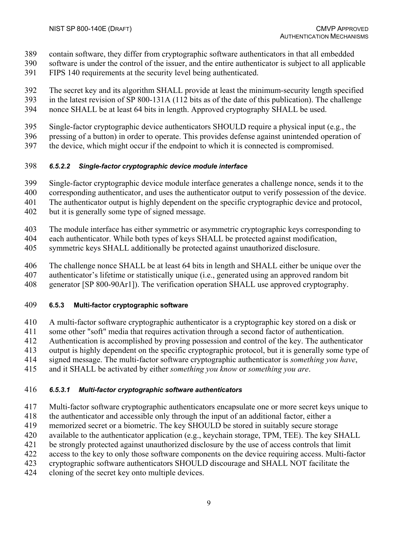- contain software, they differ from cryptographic software authenticators in that all embedded
- software is under the control of the issuer, and the entire authenticator is subject to all applicable
- FIPS 140 requirements at the security level being authenticated.
- The secret key and its algorithm SHALL provide at least the minimum-security length specified
- in the latest revision of SP 800-131A (112 bits as of the date of this publication). The challenge
- nonce SHALL be at least 64 bits in length. Approved cryptography SHALL be used.
- Single-factor cryptographic device authenticators SHOULD require a physical input (e.g., the
- pressing of a button) in order to operate. This provides defense against unintended operation of
- the device, which might occur if the endpoint to which it is connected is compromised.
- *6.5.2.2 Single-factor cryptographic device module interface*
- Single-factor cryptographic device module interface generates a challenge nonce, sends it to the
- corresponding authenticator, and uses the authenticator output to verify possession of the device.
- The authenticator output is highly dependent on the specific cryptographic device and protocol,
- but it is generally some type of signed message.
- The module interface has either symmetric or asymmetric cryptographic keys corresponding to
- each authenticator. While both types of keys SHALL be protected against modification,
- symmetric keys SHALL additionally be protected against unauthorized disclosure.
- The challenge nonce SHALL be at least 64 bits in length and SHALL either be unique over the
- authenticator's lifetime or statistically unique (i.e., generated using an approved random bit
- generator [SP 800-90Ar1]). The verification operation SHALL use approved cryptography.
- <span id="page-14-0"></span>**6.5.3 Multi-factor cryptographic software**
- A multi-factor software cryptographic authenticator is a cryptographic key stored on a disk or
- some other "soft" media that requires activation through a second factor of authentication.
- Authentication is accomplished by proving possession and control of the key. The authenticator
- output is highly dependent on the specific cryptographic protocol, but it is generally some type of
- signed message. The multi-factor software cryptographic authenticator is *something you have*,
- and it SHALL be activated by either *something you know* or *something you are*.

### *6.5.3.1 Multi-factor cryptographic software authenticators*

- Multi-factor software cryptographic authenticators encapsulate one or more secret keys unique to
- the authenticator and accessible only through the input of an additional factor, either a
- memorized secret or a biometric. The key SHOULD be stored in suitably secure storage
- available to the authenticator application (e.g., keychain storage, TPM, TEE). The key SHALL
- be strongly protected against unauthorized disclosure by the use of access controls that limit
- access to the key to only those software components on the device requiring access. Multi-factor
- cryptographic software authenticators SHOULD discourage and SHALL NOT facilitate the
- cloning of the secret key onto multiple devices.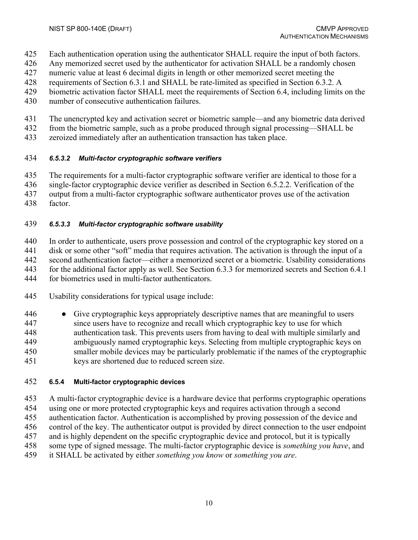- Each authentication operation using the authenticator SHALL require the input of both factors.
- Any memorized secret used by the authenticator for activation SHALL be a randomly chosen
- numeric value at least 6 decimal digits in length or other memorized secret meeting the
- requirements of Section 6.3.1 and SHALL be rate-limited as specified in Section 6.3.2. A
- biometric activation factor SHALL meet the requirements of Section 6.4, including limits on the
- number of consecutive authentication failures.
- The unencrypted key and activation secret or biometric sample—and any biometric data derived
- from the biometric sample, such as a probe produced through signal processing—SHALL be
- zeroized immediately after an authentication transaction has taken place.

#### *6.5.3.2 Multi-factor cryptographic software verifiers*

The requirements for a multi-factor cryptographic software verifier are identical to those for a

- single-factor cryptographic device verifier as described in Section 6.5.2.2. Verification of the
- output from a multi-factor cryptographic software authenticator proves use of the activation
- factor.

### *6.5.3.3 Multi-factor cryptographic software usability*

 In order to authenticate, users prove possession and control of the cryptographic key stored on a disk or some other "soft" media that requires activation. The activation is through the input of a second authentication factor—either a memorized secret or a biometric. Usability considerations for the additional factor apply as well. See Section 6.3.3 for memorized secrets and Section 6.4.1 for biometrics used in multi-factor authenticators.

- Usability considerations for typical usage include:
- 446 Give cryptographic keys appropriately descriptive names that are meaningful to users since users have to recognize and recall which cryptographic key to use for which authentication task. This prevents users from having to deal with multiple similarly and ambiguously named cryptographic keys. Selecting from multiple cryptographic keys on smaller mobile devices may be particularly problematic if the names of the cryptographic keys are shortened due to reduced screen size.

### <span id="page-15-0"></span>**6.5.4 Multi-factor cryptographic devices**

A multi-factor cryptographic device is a hardware device that performs cryptographic operations

- using one or more protected cryptographic keys and requires activation through a second
- authentication factor. Authentication is accomplished by proving possession of the device and control of the key. The authenticator output is provided by direct connection to the user endpoint
- and is highly dependent on the specific cryptographic device and protocol, but it is typically
- some type of signed message. The multi-factor cryptographic device is *something you have*, and
- it SHALL be activated by either *something you know* or *something you are*.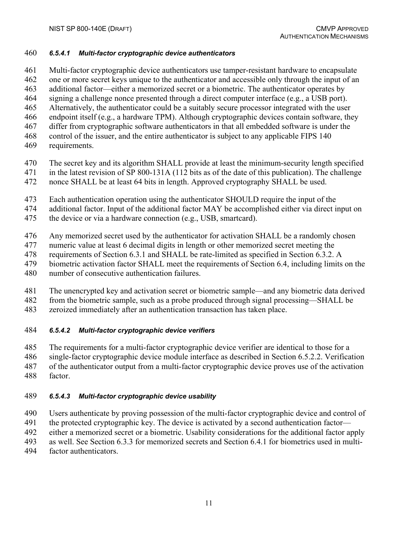#### *6.5.4.1 Multi-factor cryptographic device authenticators*

 Multi-factor cryptographic device authenticators use tamper-resistant hardware to encapsulate one or more secret keys unique to the authenticator and accessible only through the input of an additional factor—either a memorized secret or a biometric. The authenticator operates by signing a challenge nonce presented through a direct computer interface (e.g., a USB port). Alternatively, the authenticator could be a suitably secure processor integrated with the user

endpoint itself (e.g., a hardware TPM). Although cryptographic devices contain software, they

- differ from cryptographic software authenticators in that all embedded software is under the control of the issuer, and the entire authenticator is subject to any applicable FIPS 140
- requirements.
- The secret key and its algorithm SHALL provide at least the minimum-security length specified
- in the latest revision of SP 800-131A (112 bits as of the date of this publication). The challenge
- nonce SHALL be at least 64 bits in length. Approved cryptography SHALL be used.
- Each authentication operation using the authenticator SHOULD require the input of the
- additional factor. Input of the additional factor MAY be accomplished either via direct input on
- the device or via a hardware connection (e.g., USB, smartcard).
- Any memorized secret used by the authenticator for activation SHALL be a randomly chosen
- numeric value at least 6 decimal digits in length or other memorized secret meeting the
- requirements of Section 6.3.1 and SHALL be rate-limited as specified in Section 6.3.2. A
- biometric activation factor SHALL meet the requirements of Section 6.4, including limits on the
- number of consecutive authentication failures.
- The unencrypted key and activation secret or biometric sample—and any biometric data derived
- from the biometric sample, such as a probe produced through signal processing—SHALL be
- zeroized immediately after an authentication transaction has taken place.

### *6.5.4.2 Multi-factor cryptographic device verifiers*

- The requirements for a multi-factor cryptographic device verifier are identical to those for a
- single-factor cryptographic device module interface as described in Section 6.5.2.2. Verification
- of the authenticator output from a multi-factor cryptographic device proves use of the activation
- factor.

### *6.5.4.3 Multi-factor cryptographic device usability*

- Users authenticate by proving possession of the multi-factor cryptographic device and control of
- the protected cryptographic key. The device is activated by a second authentication factor—
- either a memorized secret or a biometric. Usability considerations for the additional factor apply
- as well. See Section 6.3.3 for memorized secrets and Section 6.4.1 for biometrics used in multi-
- factor authenticators.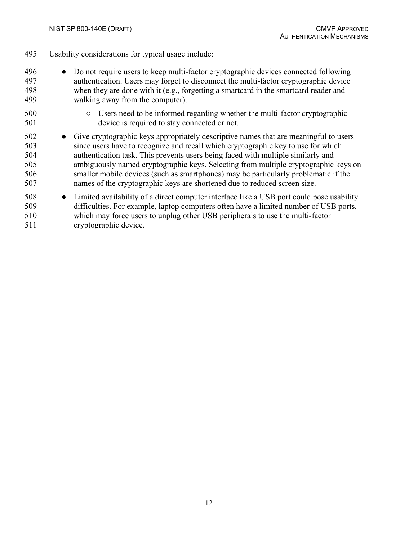- Usability considerations for typical usage include:
- 496 Do not require users to keep multi-factor cryptographic devices connected following authentication. Users may forget to disconnect the multi-factor cryptographic device when they are done with it (e.g., forgetting a smartcard in the smartcard reader and walking away from the computer).
- **Share Users need to be informed regarding whether the multi-factor cryptographic** device is required to stay connected or not.
- Give cryptographic keys appropriately descriptive names that are meaningful to users since users have to recognize and recall which cryptographic key to use for which authentication task. This prevents users being faced with multiple similarly and ambiguously named cryptographic keys. Selecting from multiple cryptographic keys on smaller mobile devices (such as smartphones) may be particularly problematic if the names of the cryptographic keys are shortened due to reduced screen size.
- 508 Limited availability of a direct computer interface like a USB port could pose usability difficulties. For example, laptop computers often have a limited number of USB ports, which may force users to unplug other USB peripherals to use the multi-factor cryptographic device.